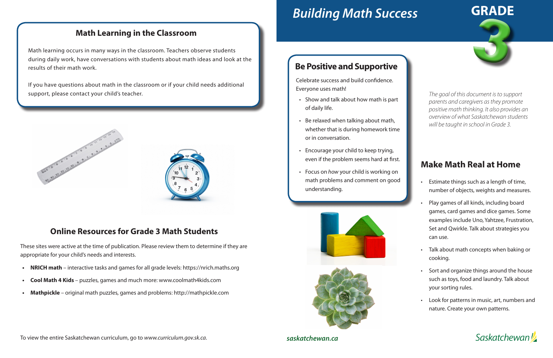# *Building Math Success*

#### **Online Resources for Grade 3 Math Students**

These sites were active at the time of publication. Please review them to determine if they are appropriate for your child's needs and interests.

- **• NRICH math**  interactive tasks and games for all grade levels: https://nrich.maths.org
- **• Cool Math 4 Kids**  puzzles, games and much more: www.coolmath4kids.com
- **• Mathpickle**  original math puzzles, games and problems: http://mathpickle.com

To view the entire Saskatchewan curriculum, go to *www.curriculum.gov.sk.ca*.



# **Make Math Real at Home**

- Estimate things such as a length of time, number of objects, weights and measures.
- Play games of all kinds, including board games, card games and dice games. Some examples include Uno, Yahtzee, Frustration, Set and Qwirkle. Talk about strategies you can use.
- Talk about math concepts when baking or cooking.
- Sort and organize things around the house such as toys, food and laundry. Talk about your sorting rules.
- Look for patterns in music, art, numbers and nature. Create your own patterns.

**Saskatchewan** 

If you have questions about math in the classroom or if your child needs additional support, please contact your child's teacher. **The goal of this document is to support** 





*saskatchewan.ca*

## **Be Positive and Supportive**

Celebrate success and build confidence. Everyone uses math!

- Show and talk about how math is part of daily life.
- Be relaxed when talking about math, whether that is during homework time or in conversation.
- Encourage your child to keep trying, even if the problem seems hard at first.
- Focus on *how* your child is working on math problems and comment on good understanding.





#### **Math Learning in the Classroom**

Math learning occurs in many ways in the classroom. Teachers observe students during daily work, have conversations with students about math ideas and look at the results of their math work.

> *parents and caregivers as they promote positive math thinking. It also provides an overview of what Saskatchewan students will be taught in school in Grade 3.*